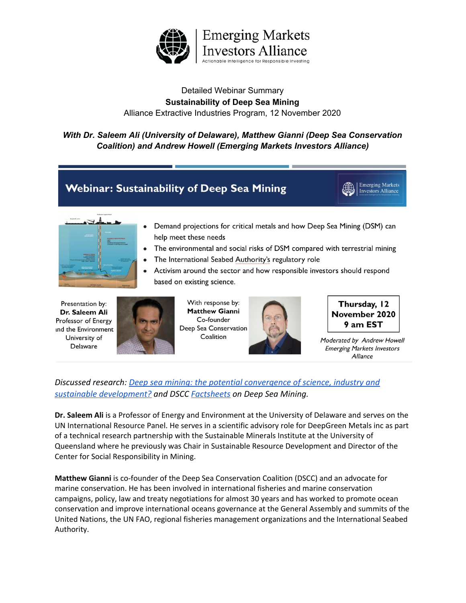

### Detailed Webinar Summary **Sustainability of Deep Sea Mining** Alliance Extractive Industries Program, 12 November 2020

### *With Dr. Saleem Ali (University of Delaware), Matthew Gianni (Deep Sea Conservation Coalition) and Andrew Howell (Emerging Markets Investors Alliance)*



UN International Resource Panel. He serves in a scientific advisory role for DeepGreen Metals inc as part of a technical research partnership with the Sustainable Minerals Institute at the University of Queensland where he previously was Chair in Sustainable Resource Development and Director of the Center for Social Responsibility in Mining.

**Matthew Gianni** is co-founder of the Deep Sea Conservation Coalition (DSCC) and an advocate for marine conservation. He has been involved in international fisheries and marine conservation campaigns, policy, law and treaty negotiations for almost 30 years and has worked to promote ocean conservation and improve international oceans governance at the General Assembly and summits of the United Nations, the UN FAO, regional fisheries management organizations and the International Seabed Authority.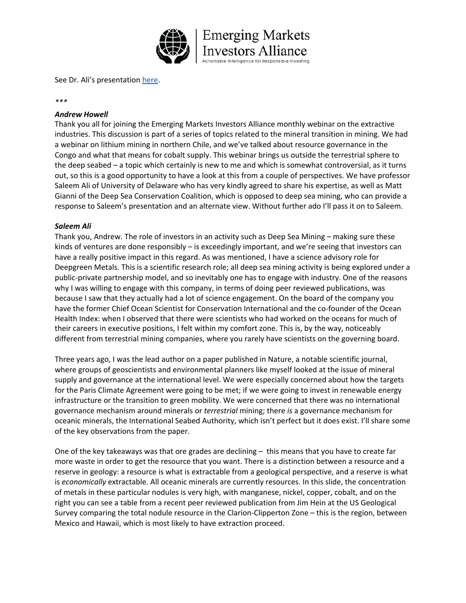

See Dr. Ali's presentation [here.](https://www.eminvestorsalliance.org/sites/default/files/d/WGCalls/DeepSeaMining_SaleemAli.pdf)

#### *\*\*\**

#### *Andrew Howell*

Thank you all for joining the Emerging Markets Investors Alliance monthly webinar on the extractive industries. This discussion is part of a series of topics related to the mineral transition in mining. We had a webinar on lithium mining in northern Chile, and we've talked about resource governance in the Congo and what that means for cobalt supply. This webinar brings us outside the terrestrial sphere to the deep seabed – a topic which certainly is new to me and which is somewhat controversial, as it turns out, so this is a good opportunity to have a look at this from a couple of perspectives. We have professor Saleem Ali of University of Delaware who has very kindly agreed to share his expertise, as well as Matt Gianni of the Deep Sea Conservation Coalition, which is opposed to deep sea mining, who can provide a response to Saleem's presentation and an alternate view. Without further ado I'll pass it on to Saleem.

#### *Saleem Ali*

Thank you, Andrew. The role of investors in an activity such as Deep Sea Mining – making sure these kinds of ventures are done responsibly – is exceedingly important, and we're seeing that investors can have a really positive impact in this regard. As was mentioned, I have a science advisory role for Deepgreen Metals. This is a scientific research role; all deep sea mining activity is being explored under a public-private partnership model, and so inevitably one has to engage with industry. One of the reasons why I was willing to engage with this company, in terms of doing peer reviewed publications, was because I saw that they actually had a lot of science engagement. On the board of the company you have the former Chief Ocean Scientist for Conservation International and the co-founder of the Ocean Health Index: when I observed that there were scientists who had worked on the oceans for much of their careers in executive positions, I felt within my comfort zone. This is, by the way, noticeably different from terrestrial mining companies, where you rarely have scientists on the governing board.

Three years ago, I was the lead author on a paper published in Nature, a notable scientific journal, where groups of geoscientists and environmental planners like myself looked at the issue of mineral supply and governance at the international level. We were especially concerned about how the targets for the Paris Climate Agreement were going to be met; if we were going to invest in renewable energy infrastructure or the transition to green mobility. We were concerned that there was no international governance mechanism around minerals or *terrestrial* mining; there *is* a governance mechanism for oceanic minerals, the International Seabed Authority, which isn't perfect but it does exist. I'll share some of the key observations from the paper.

One of the key takeaways was that ore grades are declining – this means that you have to create far more waste in order to get the resource that you want. There is a distinction between a resource and a reserve in geology: a resource is what is extractable from a geological perspective, and a reserve is what is *economically* extractable. All oceanic minerals are currently resources. In this slide, the concentration of metals in these particular nodules is very high, with manganese, nickel, copper, cobalt, and on the right you can see a table from a recent peer reviewed publication from Jim Hein at the US Geological Survey comparing the total nodule resource in the Clarion-Clipperton Zone – this is the region, between Mexico and Hawaii, which is most likely to have extraction proceed.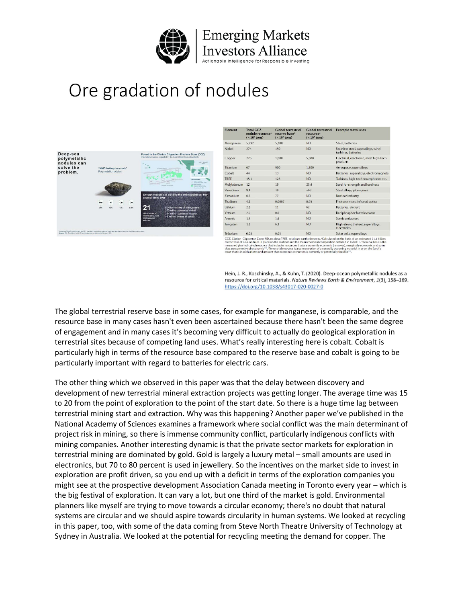

Responsible Investing

Ore gradation of nodules



| <b>ND</b><br>Steel batteries<br>5.200<br>Manganese<br>5.992<br><b>ND</b><br>Nickel<br>274<br>150<br>Stainless steel, superalloys, wind<br>turbines, batteries<br>226<br>1.000<br>5.600<br>Electrical, electronic, most high-tech<br>Copper<br>products<br>900<br>1.200<br>Titanium<br>67<br>Aerospace, superalloys<br><b>ND</b><br>Cobalt<br>44<br>13<br>Batteries, superalloys, electromagnets<br><b>TREE</b><br><b>ND</b><br>15.1<br>128<br>Turbines, high-tech smartphones etc.<br>Molybdenum<br>19<br>Steel for strength and hardness<br>12<br>25.4<br>Vanadium<br>9.4<br>38<br>~163<br>Steel alloys, jet engines<br>6.5<br>77<br><b>ND</b><br>Zirconium<br>Nuclear industry<br>Thallium<br>4.2<br>Photoresistors, infrared optics<br>0.0007<br>0.65<br>2.8<br>Lithium<br>11<br>62<br>Batteries, aircraft |
|---------------------------------------------------------------------------------------------------------------------------------------------------------------------------------------------------------------------------------------------------------------------------------------------------------------------------------------------------------------------------------------------------------------------------------------------------------------------------------------------------------------------------------------------------------------------------------------------------------------------------------------------------------------------------------------------------------------------------------------------------------------------------------------------------------------|
|                                                                                                                                                                                                                                                                                                                                                                                                                                                                                                                                                                                                                                                                                                                                                                                                               |
|                                                                                                                                                                                                                                                                                                                                                                                                                                                                                                                                                                                                                                                                                                                                                                                                               |
|                                                                                                                                                                                                                                                                                                                                                                                                                                                                                                                                                                                                                                                                                                                                                                                                               |
|                                                                                                                                                                                                                                                                                                                                                                                                                                                                                                                                                                                                                                                                                                                                                                                                               |
|                                                                                                                                                                                                                                                                                                                                                                                                                                                                                                                                                                                                                                                                                                                                                                                                               |
|                                                                                                                                                                                                                                                                                                                                                                                                                                                                                                                                                                                                                                                                                                                                                                                                               |
|                                                                                                                                                                                                                                                                                                                                                                                                                                                                                                                                                                                                                                                                                                                                                                                                               |
|                                                                                                                                                                                                                                                                                                                                                                                                                                                                                                                                                                                                                                                                                                                                                                                                               |
|                                                                                                                                                                                                                                                                                                                                                                                                                                                                                                                                                                                                                                                                                                                                                                                                               |
|                                                                                                                                                                                                                                                                                                                                                                                                                                                                                                                                                                                                                                                                                                                                                                                                               |
|                                                                                                                                                                                                                                                                                                                                                                                                                                                                                                                                                                                                                                                                                                                                                                                                               |
| Yttrium<br>2.0<br><b>ND</b><br>Red phosphor for televisions<br>0.6                                                                                                                                                                                                                                                                                                                                                                                                                                                                                                                                                                                                                                                                                                                                            |
| <b>ND</b><br>Semiconductors<br>1.4<br>1.6<br><b>Arsenic</b>                                                                                                                                                                                                                                                                                                                                                                                                                                                                                                                                                                                                                                                                                                                                                   |
| <b>ND</b><br>1.3<br>6.3<br>High-strength steel, superalloys,<br>Tungsten<br>electrodes                                                                                                                                                                                                                                                                                                                                                                                                                                                                                                                                                                                                                                                                                                                        |
| Tellurium<br><b>ND</b><br>0.08<br>0.05<br>Solar cells, superalloys                                                                                                                                                                                                                                                                                                                                                                                                                                                                                                                                                                                                                                                                                                                                            |

ta: TREE, total arion-Clipperton Zone; ND, no data; TREE,<br>ons of CCZ nodules in place on the seafloo<br>ed plus indicated resource that includes res<br>currently subeconomic<sup>129</sup>. "Terrestrial reso The called in TABLE T. These related<br>reserves), marginally economic and so<br>occurring material in or on the Earth's<br>slly feasible<sup>110</sup>.

Hein, J. R., Koschinsky, A., & Kuhn, T. (2020). Deep-ocean polymetallic nodules as a resource for critical materials. Nature Reviews Earth & Environment, 1(3), 158-169. https://doi.org/10.1038/s43017-020-0027-0

The global terrestrial reserve base in some cases, for example for manganese, is comparable, and the resource base in many cases hasn't even been ascertained because there hasn't been the same degree of engagement and in many cases it's becoming very difficult to actually do geological exploration in terrestrial sites because of competing land uses. What's really interesting here is cobalt. Cobalt is particularly high in terms of the resource base compared to the reserve base and cobalt is going to be particularly important with regard to batteries for electric cars.

The other thing which we observed in this paper was that the delay between discovery and development of new terrestrial mineral extraction projects was getting longer. The average time was 15 to 20 from the point of exploration to the point of the start date. So there is a huge time lag between terrestrial mining start and extraction. Why was this happening? Another paper we've published in the National Academy of Sciences examines a framework where social conflict was the main determinant of project risk in mining, so there is immense community conflict, particularly indigenous conflicts with mining companies. Another interesting dynamic is that the private sector markets for exploration in terrestrial mining are dominated by gold. Gold is largely a luxury metal – small amounts are used in electronics, but 70 to 80 percent is used in jewellery. So the incentives on the market side to invest in exploration are profit driven, so you end up with a deficit in terms of the exploration companies you might see at the prospective development Association Canada meeting in Toronto every year – which is the big festival of exploration. It can vary a lot, but one third of the market is gold. Environmental planners like myself are trying to move towards a circular economy; there's no doubt that natural systems are circular and we should aspire towards circularity in human systems. We looked at recycling in this paper, too, with some of the data coming from Steve North Theatre University of Technology at Sydney in Australia. We looked at the potential for recycling meeting the demand for copper. The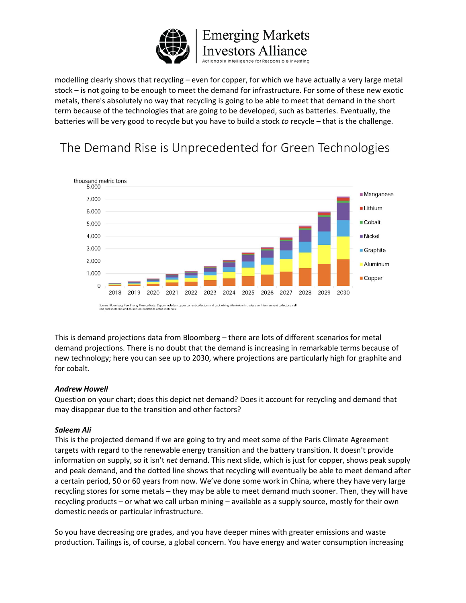

modelling clearly shows that recycling – even for copper, for which we have actually a very large metal stock – is not going to be enough to meet the demand for infrastructure. For some of these new exotic metals, there's absolutely no way that recycling is going to be able to meet that demand in the short term because of the technologies that are going to be developed, such as batteries. Eventually, the batteries will be very good to recycle but you have to build a stock *to* recycle – that is the challenge.

## The Demand Rise is Unprecedented for Green Technologies



This is demand projections data from Bloomberg – there are lots of different scenarios for metal demand projections. There is no doubt that the demand is increasing in remarkable terms because of new technology; here you can see up to 2030, where projections are particularly high for graphite and for cobalt.

#### *Andrew Howell*

Question on your chart; does this depict net demand? Does it account for recycling and demand that may disappear due to the transition and other factors?

#### *Saleem Ali*

This is the projected demand if we are going to try and meet some of the Paris Climate Agreement targets with regard to the renewable energy transition and the battery transition. It doesn't provide information on supply, so it isn't *net* demand. This next slide, which is just for copper, shows peak supply and peak demand, and the dotted line shows that recycling will eventually be able to meet demand after a certain period, 50 or 60 years from now. We've done some work in China, where they have very large recycling stores for some metals – they may be able to meet demand much sooner. Then, they will have recycling products – or what we call urban mining – available as a supply source, mostly for their own domestic needs or particular infrastructure.

So you have decreasing ore grades, and you have deeper mines with greater emissions and waste production. Tailings is, of course, a global concern. You have energy and water consumption increasing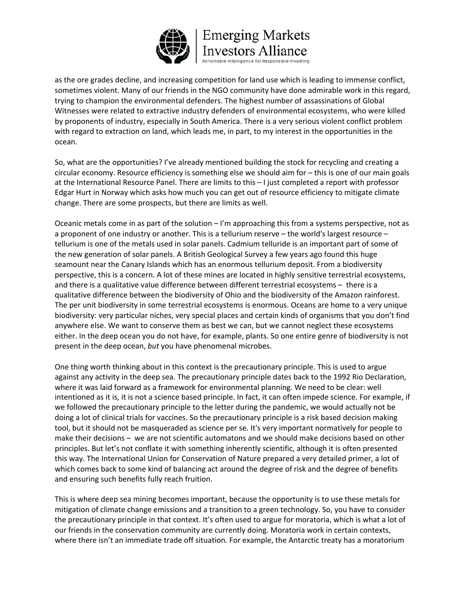

as the ore grades decline, and increasing competition for land use which is leading to immense conflict, sometimes violent. Many of our friends in the NGO community have done admirable work in this regard, trying to champion the environmental defenders. The highest number of assassinations of Global Witnesses were related to extractive industry defenders of environmental ecosystems, who were killed by proponents of industry, especially in South America. There is a very serious violent conflict problem with regard to extraction on land, which leads me, in part, to my interest in the opportunities in the ocean.

So, what are the opportunities? I've already mentioned building the stock for recycling and creating a circular economy. Resource efficiency is something else we should aim for – this is one of our main goals at the International Resource Panel. There are limits to this – I just completed a report with professor Edgar Hurt in Norway which asks how much you can get out of resource efficiency to mitigate climate change. There are some prospects, but there are limits as well.

Oceanic metals come in as part of the solution  $-1$ 'm approaching this from a systems perspective, not as a proponent of one industry or another. This is a tellurium reserve – the world's largest resource – tellurium is one of the metals used in solar panels. Cadmium telluride is an important part of some of the new generation of solar panels. A British Geological Survey a few years ago found this huge seamount near the Canary Islands which has an enormous tellurium deposit. From a biodiversity perspective, this is a concern. A lot of these mines are located in highly sensitive terrestrial ecosystems, and there is a qualitative value difference between different terrestrial ecosystems – there is a qualitative difference between the biodiversity of Ohio and the biodiversity of the Amazon rainforest. The per unit biodiversity in some terrestrial ecosystems is enormous. Oceans are home to a very unique biodiversity: very particular niches, very special places and certain kinds of organisms that you don't find anywhere else. We want to conserve them as best we can, but we cannot neglect these ecosystems either. In the deep ocean you do not have, for example, plants. So one entire genre of biodiversity is not present in the deep ocean, *but* you have phenomenal microbes.

One thing worth thinking about in this context is the precautionary principle. This is used to argue against any activity in the deep sea. The precautionary principle dates back to the 1992 Rio Declaration, where it was laid forward as a framework for environmental planning. We need to be clear: well intentioned as it is, it is not a science based principle. In fact, it can often impede science. For example, if we followed the precautionary principle to the letter during the pandemic, we would actually not be doing a lot of clinical trials for vaccines. So the precautionary principle is a risk based decision making tool, but it should not be masqueraded as science per se. It's very important normatively for people to make their decisions – we are not scientific automatons and we should make decisions based on other principles. But let's not conflate it with something inherently scientific, although it is often presented this way. The International Union for Conservation of Nature prepared a very detailed primer, a lot of which comes back to some kind of balancing act around the degree of risk and the degree of benefits and ensuring such benefits fully reach fruition.

This is where deep sea mining becomes important, because the opportunity is to use these metals for mitigation of climate change emissions and a transition to a green technology. So, you have to consider the precautionary principle in that context. It's often used to argue for moratoria, which is what a lot of our friends in the conservation community are currently doing. Moratoria work in certain contexts, where there isn't an immediate trade off situation. For example, the Antarctic treaty has a moratorium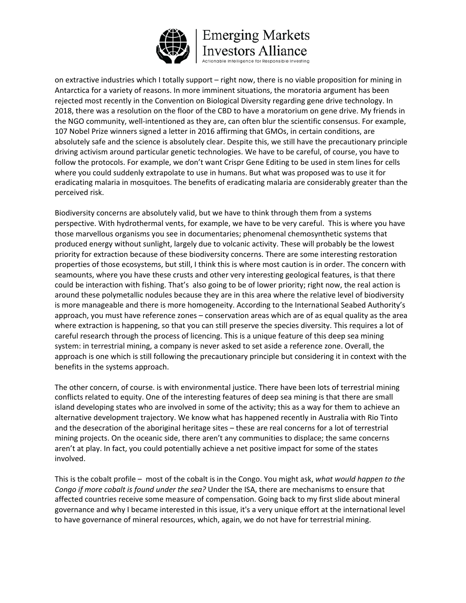

elligence for Responsible Investing

on extractive industries which I totally support – right now, there is no viable proposition for mining in Antarctica for a variety of reasons. In more imminent situations, the moratoria argument has been rejected most recently in the Convention on Biological Diversity regarding gene drive technology. In 2018, there was a resolution on the floor of the CBD to have a moratorium on gene drive. My friends in the NGO community, well-intentioned as they are, can often blur the scientific consensus. For example, 107 Nobel Prize winners signed a letter in 2016 affirming that GMOs, in certain conditions, are absolutely safe and the science is absolutely clear. Despite this, we still have the precautionary principle driving activism around particular genetic technologies. We have to be careful, of course, you have to follow the protocols. For example, we don't want Crispr Gene Editing to be used in stem lines for cells where you could suddenly extrapolate to use in humans. But what was proposed was to use it for eradicating malaria in mosquitoes. The benefits of eradicating malaria are considerably greater than the perceived risk.

Biodiversity concerns are absolutely valid, but we have to think through them from a systems perspective. With hydrothermal vents, for example, we have to be very careful. This is where you have those marvellous organisms you see in documentaries; phenomenal chemosynthetic systems that produced energy without sunlight, largely due to volcanic activity. These will probably be the lowest priority for extraction because of these biodiversity concerns. There are some interesting restoration properties of those ecosystems, but still, I think this is where most caution is in order. The concern with seamounts, where you have these crusts and other very interesting geological features, is that there could be interaction with fishing. That's also going to be of lower priority; right now, the real action is around these polymetallic nodules because they are in this area where the relative level of biodiversity is more manageable and there is more homogeneity. According to the International Seabed Authority's approach, you must have reference zones – conservation areas which are of as equal quality as the area where extraction is happening, so that you can still preserve the species diversity. This requires a lot of careful research through the process of licencing. This is a unique feature of this deep sea mining system: in terrestrial mining, a company is never asked to set aside a reference zone. Overall, the approach is one which is still following the precautionary principle but considering it in context with the benefits in the systems approach.

The other concern, of course. is with environmental justice. There have been lots of terrestrial mining conflicts related to equity. One of the interesting features of deep sea mining is that there are small island developing states who are involved in some of the activity; this as a way for them to achieve an alternative development trajectory. We know what has happened recently in Australia with Rio Tinto and the desecration of the aboriginal heritage sites – these are real concerns for a lot of terrestrial mining projects. On the oceanic side, there aren't any communities to displace; the same concerns aren't at play. In fact, you could potentially achieve a net positive impact for some of the states involved.

This is the cobalt profile – most of the cobalt is in the Congo. You might ask, *what would happen to the Congo if more cobalt is found under the sea?* Under the ISA, there are mechanisms to ensure that affected countries receive some measure of compensation. Going back to my first slide about mineral governance and why I became interested in this issue, it's a very unique effort at the international level to have governance of mineral resources, which, again, we do not have for terrestrial mining.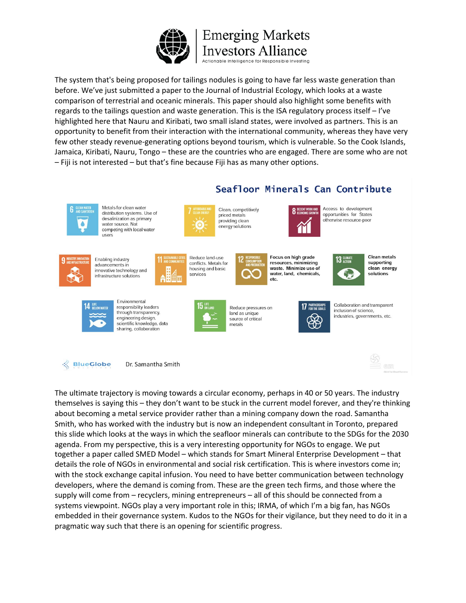

The system that's being proposed for tailings nodules is going to have far less waste generation than before. We've just submitted a paper to the Journal of Industrial Ecology, which looks at a waste comparison of terrestrial and oceanic minerals. This paper should also highlight some benefits with regards to the tailings question and waste generation. This is the ISA regulatory process itself – I've highlighted here that Nauru and Kiribati, two small island states, were involved as partners. This is an opportunity to benefit from their interaction with the international community, whereas they have very few other steady revenue-generating options beyond tourism, which is vulnerable. So the Cook Islands, Jamaica, Kiribati, Nauru, Tongo – these are the countries who are engaged. There are some who are not – Fiji is not interested – but that's fine because Fiji has as many other options.



Metals for clean water distribution systems. Use of desalinization as primary water source. Not competing with local water users



Clean, competitively priced metals providing clean energy solutions



Seafloor Minerals Can Contribute

Access to development opportunities for States otherwise resource-poor



Enabling industry advancements in innovative technology and infrastructure solutions



11 :

Reduce land-use conflicts. Metals for housing and basic



Focus on high grade resources, minimizing waste. Minimize use of water, land, chemicals,



**Clean metals** supporting clean energy solutions

Se or



Environmental responsibility leaders through transparency. engineering design, scientific knowledge, data sharing, collaboration



Reduce pressures on land as unique source of critical metals



Collaboration and transparent inclusion of science. industries, governments, etc.



Dr. Samantha Smith

The ultimate trajectory is moving towards a circular economy, perhaps in 40 or 50 years. The industry themselves is saying this – they don't want to be stuck in the current model forever, and they're thinking about becoming a metal service provider rather than a mining company down the road. Samantha Smith, who has worked with the industry but is now an independent consultant in Toronto, prepared this slide which looks at the ways in which the seafloor minerals can contribute to the SDGs for the 2030 agenda. From my perspective, this is a very interesting opportunity for NGOs to engage. We put together a paper called SMED Model – which stands for Smart Mineral Enterprise Development – that details the role of NGOs in environmental and social risk certification. This is where investors come in; with the stock exchange capital infusion. You need to have better communication between technology developers, where the demand is coming from. These are the green tech firms, and those where the supply will come from – recyclers, mining entrepreneurs – all of this should be connected from a systems viewpoint. NGOs play a very important role in this; IRMA, of which I'm a big fan, has NGOs embedded in their governance system. Kudos to the NGOs for their vigilance, but they need to do it in a pragmatic way such that there is an opening for scientific progress.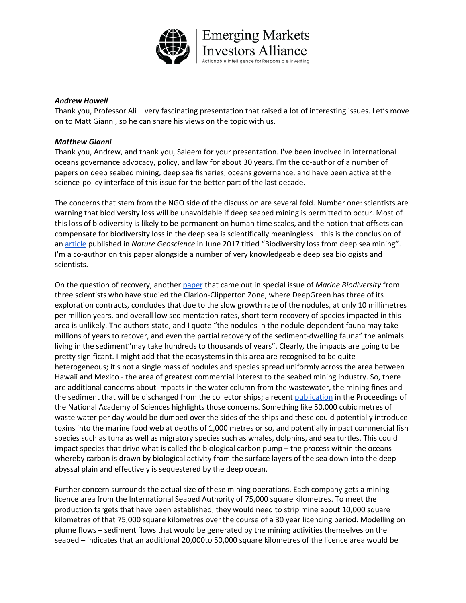

#### *Andrew Howell*

Thank you, Professor Ali – very fascinating presentation that raised a lot of interesting issues. Let's move on to Matt Gianni, so he can share his views on the topic with us.

#### *Matthew Gianni*

Thank you, Andrew, and thank you, Saleem for your presentation. I've been involved in international oceans governance advocacy, policy, and law for about 30 years. I'm the co-author of a number of papers on deep seabed mining, deep sea fisheries, oceans governance, and have been active at the science-policy interface of this issue for the better part of the last decade.

The concerns that stem from the NGO side of the discussion are several fold. Number one: scientists are warning that biodiversity loss will be unavoidable if deep seabed mining is permitted to occur. Most of this loss of biodiversity is likely to be permanent on human time scales, and the notion that offsets can compensate for biodiversity loss in the deep sea is scientifically meaningless – this is the conclusion of an [article](https://www.nature.com/articles/ngeo2983) published in *Nature Geoscience* in June 2017 titled "Biodiversity loss from deep sea mining". I'm a co-author on this paper alongside a number of very knowledgeable deep sea biologists and scientists.

On the question of recovery, another [paper](https://link.springer.com/article/10.1007/s12526-017-0733-0) that came out in special issue of *Marine Biodiversity* from three scientists who have studied the Clarion-Clipperton Zone, where DeepGreen has three of its exploration contracts, concludes that due to the slow growth rate of the nodules, at only 10 millimetres per million years, and overall low sedimentation rates, short term recovery of species impacted in this area is unlikely. The authors state, and I quote "the nodules in the nodule-dependent fauna may take millions of years to recover, and even the partial recovery of the sediment-dwelling fauna" the animals living in the sediment"may take hundreds to thousands of years". Clearly, the impacts are going to be pretty significant. I might add that the ecosystems in this area are recognised to be quite heterogeneous; it's not a single mass of nodules and species spread uniformly across the area between Hawaii and Mexico - the area of greatest commercial interest to the seabed mining industry. So, there are additional concerns about impacts in the water column from the wastewater, the mining fines and the sediment that will be discharged from the collector ships; a recent [publication](https://www.pnas.org/content/117/30/17455) in the Proceedings of the National Academy of Sciences highlights those concerns. Something like 50,000 cubic metres of waste water per day would be dumped over the sides of the ships and these could potentially introduce toxins into the marine food web at depths of 1,000 metres or so, and potentially impact commercial fish species such as tuna as well as migratory species such as whales, dolphins, and sea turtles. This could impact species that drive what is called the biological carbon pump – the process within the oceans whereby carbon is drawn by biological activity from the surface layers of the sea down into the deep abyssal plain and effectively is sequestered by the deep ocean.

Further concern surrounds the actual size of these mining operations. Each company gets a mining licence area from the International Seabed Authority of 75,000 square kilometres. To meet the production targets that have been established, they would need to strip mine about 10,000 square kilometres of that 75,000 square kilometres over the course of a 30 year licencing period. Modelling on plume flows – sediment flows that would be generated by the mining activities themselves on the seabed – indicates that an additional 20,000to 50,000 square kilometres of the licence area would be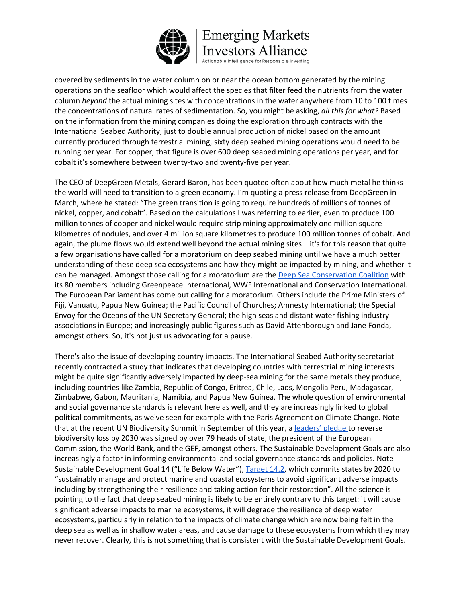

ible Intelligence for Responsible Investing

covered by sediments in the water column on or near the ocean bottom generated by the mining operations on the seafloor which would affect the species that filter feed the nutrients from the water column *beyond* the actual mining sites with concentrations in the water anywhere from 10 to 100 times the concentrations of natural rates of sedimentation. So, you might be asking, *all this for what?* Based on the information from the mining companies doing the exploration through contracts with the International Seabed Authority, just to double annual production of nickel based on the amount currently produced through terrestrial mining, sixty deep seabed mining operations would need to be running per year. For copper, that figure is over 600 deep seabed mining operations per year, and for cobalt it's somewhere between twenty-two and twenty-five per year.

The CEO of DeepGreen Metals, Gerard Baron, has been quoted often about how much metal he thinks the world will need to transition to a green economy. I'm quoting a press release from DeepGreen in March, where he stated: "The green transition is going to require hundreds of millions of tonnes of nickel, copper, and cobalt". Based on the calculations I was referring to earlier, even to produce 100 million tonnes of copper and nickel would require strip mining approximately one million square kilometres of nodules, and over 4 million square kilometres to produce 100 million tonnes of cobalt. And again, the plume flows would extend well beyond the actual mining sites – it's for this reason that quite a few organisations have called for a moratorium on deep seabed mining until we have a much better understanding of these deep sea ecosystems and how they might be impacted by mining, and whether it can be managed. Amongst those calling for a moratorium are the Deep Sea [Conservation](http://www.savethehighseas.org/wp-content/uploads/2019/08/DSCC-Position-Statement-on-Deep-Seabed-Mining_July2019.pdf) Coalition with its 80 members including Greenpeace International, WWF International and Conservation International. The European Parliament has come out calling for a moratorium. Others include the Prime Ministers of Fiji, Vanuatu, Papua New Guinea; the Pacific Council of Churches; Amnesty International; the Special Envoy for the Oceans of the UN Secretary General; the high seas and distant water fishing industry associations in Europe; and increasingly public figures such as David Attenborough and Jane Fonda, amongst others. So, it's not just us advocating for a pause.

There's also the issue of developing country impacts. The International Seabed Authority secretariat recently contracted a study that indicates that developing countries with terrestrial mining interests might be quite significantly adversely impacted by deep-sea mining for the same metals they produce, including countries like Zambia, Republic of Congo, Eritrea, Chile, Laos, Mongolia Peru, Madagascar, Zimbabwe, Gabon, Mauritania, Namibia, and Papua New Guinea. The whole question of environmental and social governance standards is relevant here as well, and they are increasingly linked to global political commitments, as we've seen for example with the Paris Agreement on Climate Change. Note that at the recent UN Biodiversity Summit in September of this year, a [leaders'](https://www.leaderspledgefornature.org/) pledge to reverse biodiversity loss by 2030 was signed by over 79 heads of state, the president of the European Commission, the World Bank, and the GEF, amongst others. The Sustainable Development Goals are also increasingly a factor in informing environmental and social governance standards and policies. Note Sustainable Development Goal 14 ("Life Below Water"), [Target](https://www.un.org/sustainabledevelopment/oceans/#:~:text=Goal%2014%3A%20Conserve%20and%20sustainably,oceans%2C%20seas%20and%20marine%20resources&text=Marine%20protected%20areas%20need%20to,marine%20pollution%20and%20ocean%20acidification.) 14.2, which commits states by 2020 to "sustainably manage and protect marine and coastal ecosystems to avoid significant adverse impacts including by strengthening their resilience and taking action for their restoration". All the science is pointing to the fact that deep seabed mining is likely to be entirely contrary to this target: it will cause significant adverse impacts to marine ecosystems, it will degrade the resilience of deep water ecosystems, particularly in relation to the impacts of climate change which are now being felt in the deep sea as well as in shallow water areas, and cause damage to these ecosystems from which they may never recover. Clearly, this is not something that is consistent with the Sustainable Development Goals.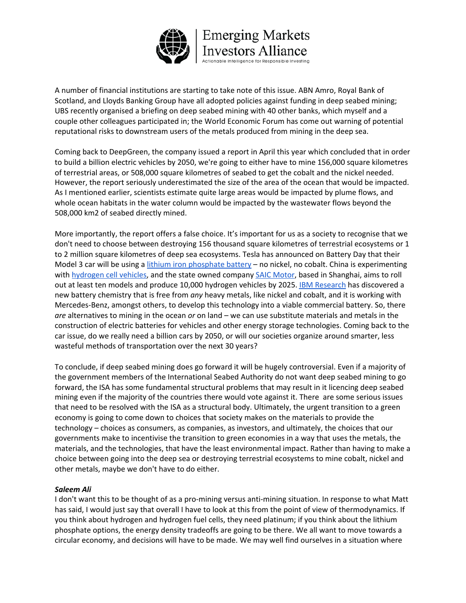

A number of financial institutions are starting to take note of this issue. ABN Amro, Royal Bank of Scotland, and Lloyds Banking Group have all adopted policies against funding in deep seabed mining; UBS recently organised a briefing on deep seabed mining with 40 other banks, which myself and a couple other colleagues participated in; the World Economic Forum has come out warning of potential reputational risks to downstream users of the metals produced from mining in the deep sea.

Coming back to DeepGreen, the company issued a report in April this year which concluded that in order to build a billion electric vehicles by 2050, we're going to either have to mine 156,000 square kilometres of terrestrial areas, or 508,000 square kilometres of seabed to get the cobalt and the nickel needed. However, the report seriously underestimated the size of the area of the ocean that would be impacted. As I mentioned earlier, scientists estimate quite large areas would be impacted by plume flows, and whole ocean habitats in the water column would be impacted by the wastewater flows beyond the 508,000 km2 of seabed directly mined.

More importantly, the report offers a false choice. It's important for us as a society to recognise that we don't need to choose between destroying 156 thousand square kilometres of terrestrial ecosystems or 1 to 2 million square kilometres of deep sea ecosystems. Tesla has announced on Battery Day that their Model 3 car will be using a lithium iron [phosphate](https://www.altenergymag.com/article/2020/01/lithium-iron-phosphate-batteries-are-uniquely-suited-to-solar-energy-storage-heres-why/32565) battery – no nickel, no cobalt. China is experimenting with [hydrogen](https://theicct.org/blog/staff/china-sketching-roadmap-hydrogen-vehicles-aug2020) cell vehicles, and the state owned company SAIC [Motor](https://fuelcellsworks.com/news/saic-group-releases-first-hydrogen-strategy-in-chinas-automotive-industry/), based in Shanghai, aims to roll out at least ten models and produce 10,000 hydrogen vehicles by 2025. IBM [Research](https://www.ibm.com/blogs/research/2019/12/heavy-metal-free-battery/) has discovered a new battery chemistry that is free from *any* heavy metals, like nickel and cobalt, and it is working with Mercedes-Benz, amongst others, to develop this technology into a viable commercial battery. So, there *are* alternatives to mining in the ocean *or* on land – we can use substitute materials and metals in the construction of electric batteries for vehicles and other energy storage technologies. Coming back to the car issue, do we really need a billion cars by 2050, or will our societies organize around smarter, less wasteful methods of transportation over the next 30 years?

To conclude, if deep seabed mining does go forward it will be hugely controversial. Even if a majority of the government members of the International Seabed Authority do not want deep seabed mining to go forward, the ISA has some fundamental structural problems that may result in it licencing deep seabed mining even if the majority of the countries there would vote against it. There are some serious issues that need to be resolved with the ISA as a structural body. Ultimately, the urgent transition to a green economy is going to come down to choices that society makes on the materials to provide the technology – choices as consumers, as companies, as investors, and ultimately, the choices that our governments make to incentivise the transition to green economies in a way that uses the metals, the materials, and the technologies, that have the least environmental impact. Rather than having to make a choice between going into the deep sea or destroying terrestrial ecosystems to mine cobalt, nickel and other metals, maybe we don't have to do either.

#### *Saleem Ali*

I don't want this to be thought of as a pro-mining versus anti-mining situation. In response to what Matt has said, I would just say that overall I have to look at this from the point of view of thermodynamics. If you think about hydrogen and hydrogen fuel cells, they need platinum; if you think about the lithium phosphate options, the energy density tradeoffs are going to be there. We all want to move towards a circular economy, and decisions will have to be made. We may well find ourselves in a situation where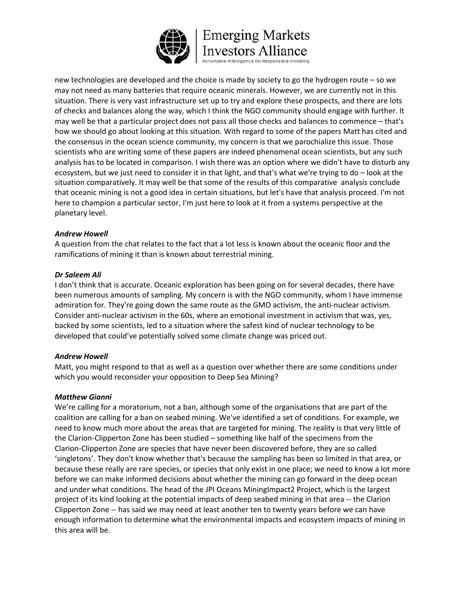

new technologies are developed and the choice is made by society to go the hydrogen route – so we may not need as many batteries that require oceanic minerals. However, we are currently not in this situation. There is very vast infrastructure set up to try and explore these prospects, and there are lots of checks and balances along the way, which I think the NGO community should engage with further. It may well be that a particular project does not pass all those checks and balances to commence – that's how we should go about looking at this situation. With regard to some of the papers Matt has cited and the consensus in the ocean science community, my concern is that we parochialize this issue. Those scientists who are writing some of these papers are indeed phenomenal ocean scientists, but any such analysis has to be located in comparison. I wish there was an option where we didn't have to disturb any ecosystem, but we just need to consider it in that light, and that's what we're trying to do – look at the situation comparatively. It may well be that some of the results of this comparative analysis conclude that oceanic mining is not a good idea in certain situations, but let's have that analysis proceed. I'm not here to champion a particular sector, I'm just here to look at it from a systems perspective at the planetary level.

#### *Andrew Howell*

A question from the chat relates to the fact that a lot less is known about the oceanic floor and the ramifications of mining it than is known about terrestrial mining.

#### *Dr Saleem Ali*

I don't think that is accurate. Oceanic exploration has been going on for several decades, there have been numerous amounts of sampling. My concern is with the NGO community, whom I have immense admiration for. They're going down the same route as the GMO activism, the anti-nuclear activism. Consider anti-nuclear activism in the 60s, where an emotional investment in activism that was, yes, backed by some scientists, led to a situation where the safest kind of nuclear technology to be developed that could've potentially solved some climate change was priced out.

#### *Andrew Howell*

Matt, you might respond to that as well as a question over whether there are some conditions under which you would reconsider your opposition to Deep Sea Mining?

### *Matthew Gianni*

We're calling for a moratorium, not a ban, although some of the organisations that are part of the coalition are calling for a ban on seabed mining. We've identified a set of conditions. For example, we need to know much more about the areas that are targeted for mining. The reality is that very little of the Clarion-Clipperton Zone has been studied – something like half of the specimens from the Clarion-Clipperton Zone are species that have never been discovered before, they are so called 'singletons'. They don't know whether that's because the sampling has been so limited in that area, or because these really are rare species, or species that only exist in one place; we need to know a lot more before we can make informed decisions about whether the mining can go forward in the deep ocean and under what conditions. The head of the JPI Oceans MiningImpact2 Project, which is the largest project of its kind looking at the potential impacts of deep seabed mining in that area -- the Clarion Clipperton Zone -- has said we may need at least another ten to twenty years before we can have enough information to determine what the environmental impacts and ecosystem impacts of mining in this area will be.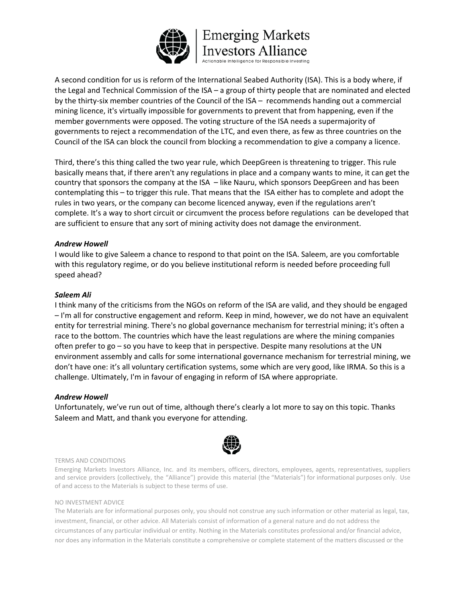

A second condition for us is reform of the International Seabed Authority (ISA). This is a body where, if the Legal and Technical Commission of the ISA – a group of thirty people that are nominated and elected by the thirty-six member countries of the Council of the ISA – recommends handing out a commercial mining licence, it's virtually impossible for governments to prevent that from happening, even if the member governments were opposed. The voting structure of the ISA needs a supermajority of governments to reject a recommendation of the LTC, and even there, as few as three countries on the Council of the ISA can block the council from blocking a recommendation to give a company a licence.

Third, there's this thing called the two year rule, which DeepGreen is threatening to trigger. This rule basically means that, if there aren't any regulations in place and a company wants to mine, it can get the country that sponsors the company at the ISA – like Nauru, which sponsors DeepGreen and has been contemplating this – to trigger this rule. That means that the ISA either has to complete and adopt the rules in two years, or the company can become licenced anyway, even if the regulations aren't complete. It's a way to short circuit or circumvent the process before regulations can be developed that are sufficient to ensure that any sort of mining activity does not damage the environment.

#### *Andrew Howell*

I would like to give Saleem a chance to respond to that point on the ISA. Saleem, are you comfortable with this regulatory regime, or do you believe institutional reform is needed before proceeding full speed ahead?

#### *Saleem Ali*

I think many of the criticisms from the NGOs on reform of the ISA are valid, and they should be engaged – I'm all for constructive engagement and reform. Keep in mind, however, we do not have an equivalent entity for terrestrial mining. There's no global governance mechanism for terrestrial mining; it's often a race to the bottom. The countries which have the least regulations are where the mining companies often prefer to go – so you have to keep that in perspective. Despite many resolutions at the UN environment assembly and calls for some international governance mechanism for terrestrial mining, we don't have one: it's all voluntary certification systems, some which are very good, like IRMA. So this is a challenge. Ultimately, I'm in favour of engaging in reform of ISA where appropriate.

#### *Andrew Howell*

Unfortunately, we've run out of time, although there's clearly a lot more to say on this topic. Thanks Saleem and Matt, and thank you everyone for attending.



#### TERMS AND CONDITIONS

Emerging Markets Investors Alliance, Inc. and its members, officers, directors, employees, agents, representatives, suppliers and service providers (collectively, the "Alliance") provide this material (the "Materials") for informational purposes only. Use of and access to the Materials is subject to these terms of use.

#### NO INVESTMENT ADVICE

The Materials are for informational purposes only, you should not construe any such information or other material as legal, tax, investment, financial, or other advice. All Materials consist of information of a general nature and do not address the circumstances of any particular individual or entity. Nothing in the Materials constitutes professional and/or financial advice, nor does any information in the Materials constitute a comprehensive or complete statement of the matters discussed or the